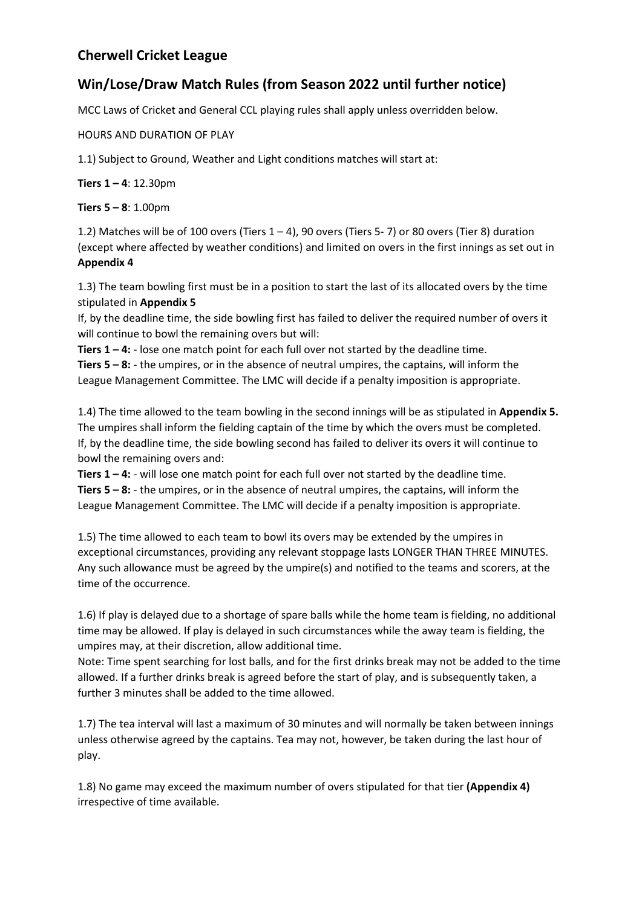# **Cherwell Cricket League**

# **Win/Lose/Draw Match Rules (from Season 2022 until further notice)**

MCC Laws of Cricket and General CCL playing rules shall apply unless overridden below.

HOURS AND DURATION OF PLAY

1.1) Subject to Ground, Weather and Light conditions matches will start at:

**Tiers 1 – 4**: 12.30pm

**Tiers 5 – 8**: 1.00pm

1.2) Matches will be of 100 overs (Tiers  $1 - 4$ ), 90 overs (Tiers 5-7) or 80 overs (Tier 8) duration (except where affected by weather conditions) and limited on overs in the first innings as set out in **Appendix 4**

1.3) The team bowling first must be in a position to start the last of its allocated overs by the time stipulated in **Appendix 5**

If, by the deadline time, the side bowling first has failed to deliver the required number of overs it will continue to bowl the remaining overs but will:

**Tiers 1 – 4:** - lose one match point for each full over not started by the deadline time.

**Tiers 5 – 8:** - the umpires, or in the absence of neutral umpires, the captains, will inform the League Management Committee. The LMC will decide if a penalty imposition is appropriate.

1.4) The time allowed to the team bowling in the second innings will be as stipulated in **Appendix 5.** The umpires shall inform the fielding captain of the time by which the overs must be completed. If, by the deadline time, the side bowling second has failed to deliver its overs it will continue to bowl the remaining overs and:

**Tiers 1 – 4:** - will lose one match point for each full over not started by the deadline time. **Tiers 5 – 8:** - the umpires, or in the absence of neutral umpires, the captains, will inform the League Management Committee. The LMC will decide if a penalty imposition is appropriate.

1.5) The time allowed to each team to bowl its overs may be extended by the umpires in exceptional circumstances, providing any relevant stoppage lasts LONGER THAN THREE MINUTES. Any such allowance must be agreed by the umpire(s) and notified to the teams and scorers, at the time of the occurrence.

1.6) If play is delayed due to a shortage of spare balls while the home team is fielding, no additional time may be allowed. If play is delayed in such circumstances while the away team is fielding, the umpires may, at their discretion, allow additional time.

Note: Time spent searching for lost balls, and for the first drinks break may not be added to the time allowed. If a further drinks break is agreed before the start of play, and is subsequently taken, a further 3 minutes shall be added to the time allowed.

1.7) The tea interval will last a maximum of 30 minutes and will normally be taken between innings unless otherwise agreed by the captains. Tea may not, however, be taken during the last hour of play.

1.8) No game may exceed the maximum number of overs stipulated for that tier **(Appendix 4)**  irrespective of time available.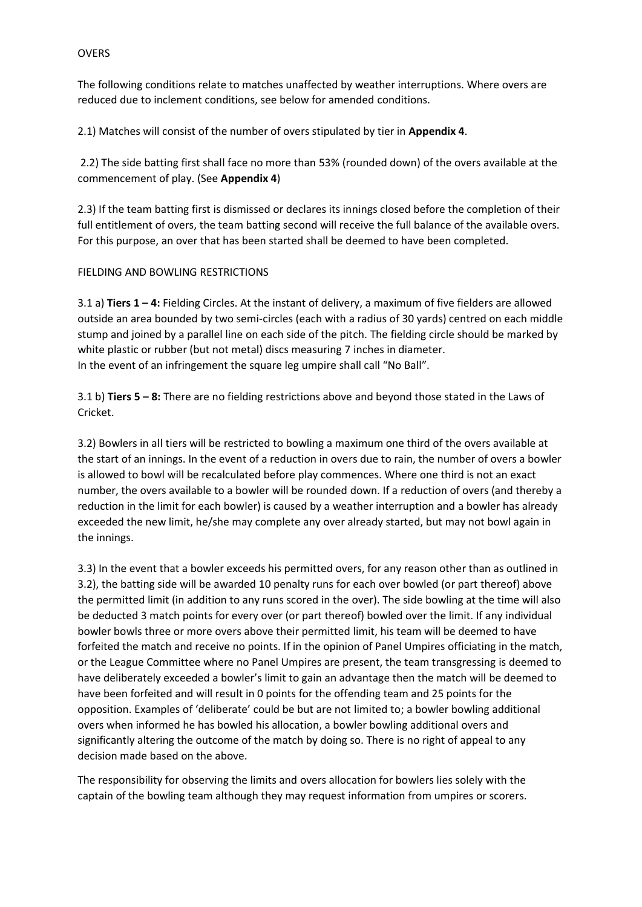#### OVERS

The following conditions relate to matches unaffected by weather interruptions. Where overs are reduced due to inclement conditions, see below for amended conditions.

2.1) Matches will consist of the number of overs stipulated by tier in **Appendix 4**.

2.2) The side batting first shall face no more than 53% (rounded down) of the overs available at the commencement of play. (See **Appendix 4**)

2.3) If the team batting first is dismissed or declares its innings closed before the completion of their full entitlement of overs, the team batting second will receive the full balance of the available overs. For this purpose, an over that has been started shall be deemed to have been completed.

#### FIELDING AND BOWLING RESTRICTIONS

3.1 a) **Tiers 1 – 4:** Fielding Circles. At the instant of delivery, a maximum of five fielders are allowed outside an area bounded by two semi-circles (each with a radius of 30 yards) centred on each middle stump and joined by a parallel line on each side of the pitch. The fielding circle should be marked by white plastic or rubber (but not metal) discs measuring 7 inches in diameter. In the event of an infringement the square leg umpire shall call "No Ball".

3.1 b) **Tiers 5 – 8:** There are no fielding restrictions above and beyond those stated in the Laws of Cricket.

3.2) Bowlers in all tiers will be restricted to bowling a maximum one third of the overs available at the start of an innings. In the event of a reduction in overs due to rain, the number of overs a bowler is allowed to bowl will be recalculated before play commences. Where one third is not an exact number, the overs available to a bowler will be rounded down. If a reduction of overs (and thereby a reduction in the limit for each bowler) is caused by a weather interruption and a bowler has already exceeded the new limit, he/she may complete any over already started, but may not bowl again in the innings.

3.3) In the event that a bowler exceeds his permitted overs, for any reason other than as outlined in 3.2), the batting side will be awarded 10 penalty runs for each over bowled (or part thereof) above the permitted limit (in addition to any runs scored in the over). The side bowling at the time will also be deducted 3 match points for every over (or part thereof) bowled over the limit. If any individual bowler bowls three or more overs above their permitted limit, his team will be deemed to have forfeited the match and receive no points. If in the opinion of Panel Umpires officiating in the match, or the League Committee where no Panel Umpires are present, the team transgressing is deemed to have deliberately exceeded a bowler's limit to gain an advantage then the match will be deemed to have been forfeited and will result in 0 points for the offending team and 25 points for the opposition. Examples of 'deliberate' could be but are not limited to; a bowler bowling additional overs when informed he has bowled his allocation, a bowler bowling additional overs and significantly altering the outcome of the match by doing so. There is no right of appeal to any decision made based on the above.

The responsibility for observing the limits and overs allocation for bowlers lies solely with the captain of the bowling team although they may request information from umpires or scorers.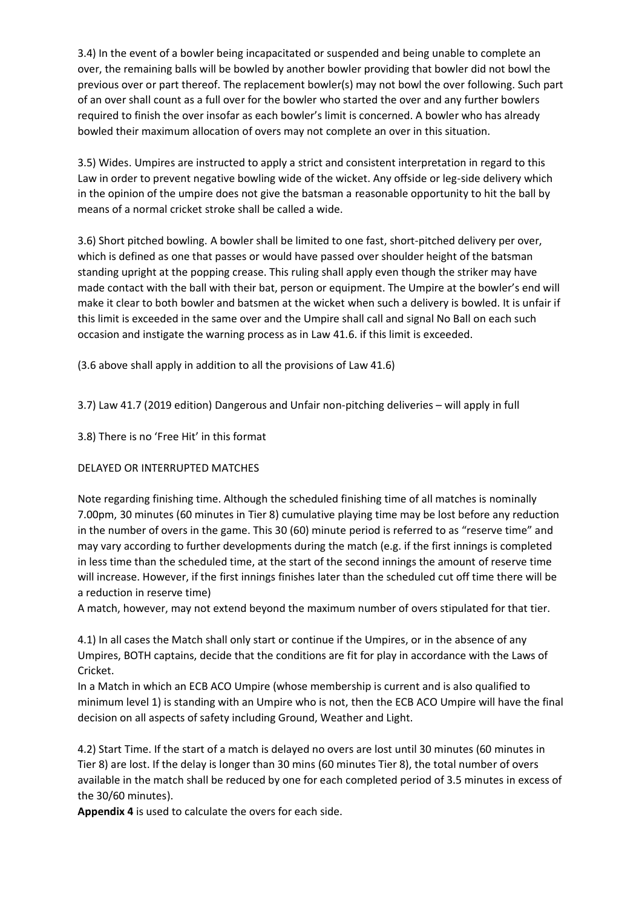3.4) In the event of a bowler being incapacitated or suspended and being unable to complete an over, the remaining balls will be bowled by another bowler providing that bowler did not bowl the previous over or part thereof. The replacement bowler(s) may not bowl the over following. Such part of an over shall count as a full over for the bowler who started the over and any further bowlers required to finish the over insofar as each bowler's limit is concerned. A bowler who has already bowled their maximum allocation of overs may not complete an over in this situation.

3.5) Wides. Umpires are instructed to apply a strict and consistent interpretation in regard to this Law in order to prevent negative bowling wide of the wicket. Any offside or leg-side delivery which in the opinion of the umpire does not give the batsman a reasonable opportunity to hit the ball by means of a normal cricket stroke shall be called a wide.

3.6) Short pitched bowling. A bowler shall be limited to one fast, short-pitched delivery per over, which is defined as one that passes or would have passed over shoulder height of the batsman standing upright at the popping crease. This ruling shall apply even though the striker may have made contact with the ball with their bat, person or equipment. The Umpire at the bowler's end will make it clear to both bowler and batsmen at the wicket when such a delivery is bowled. It is unfair if this limit is exceeded in the same over and the Umpire shall call and signal No Ball on each such occasion and instigate the warning process as in Law 41.6. if this limit is exceeded.

(3.6 above shall apply in addition to all the provisions of Law 41.6)

3.7) Law 41.7 (2019 edition) Dangerous and Unfair non-pitching deliveries – will apply in full

3.8) There is no 'Free Hit' in this format

# DELAYED OR INTERRUPTED MATCHES

Note regarding finishing time. Although the scheduled finishing time of all matches is nominally 7.00pm, 30 minutes (60 minutes in Tier 8) cumulative playing time may be lost before any reduction in the number of overs in the game. This 30 (60) minute period is referred to as "reserve time" and may vary according to further developments during the match (e.g. if the first innings is completed in less time than the scheduled time, at the start of the second innings the amount of reserve time will increase. However, if the first innings finishes later than the scheduled cut off time there will be a reduction in reserve time)

A match, however, may not extend beyond the maximum number of overs stipulated for that tier.

4.1) In all cases the Match shall only start or continue if the Umpires, or in the absence of any Umpires, BOTH captains, decide that the conditions are fit for play in accordance with the Laws of Cricket.

In a Match in which an ECB ACO Umpire (whose membership is current and is also qualified to minimum level 1) is standing with an Umpire who is not, then the ECB ACO Umpire will have the final decision on all aspects of safety including Ground, Weather and Light.

4.2) Start Time. If the start of a match is delayed no overs are lost until 30 minutes (60 minutes in Tier 8) are lost. If the delay is longer than 30 mins (60 minutes Tier 8), the total number of overs available in the match shall be reduced by one for each completed period of 3.5 minutes in excess of the 30/60 minutes).

**Appendix 4** is used to calculate the overs for each side.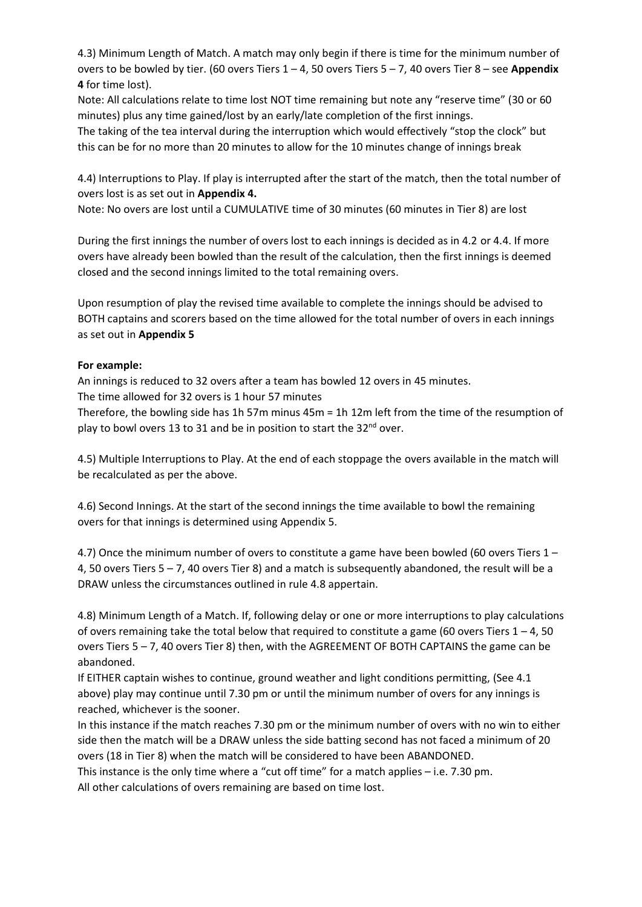4.3) Minimum Length of Match. A match may only begin if there is time for the minimum number of overs to be bowled by tier. (60 overs Tiers 1 – 4, 50 overs Tiers 5 – 7, 40 overs Tier 8 – see **Appendix 4** for time lost).

Note: All calculations relate to time lost NOT time remaining but note any "reserve time" (30 or 60 minutes) plus any time gained/lost by an early/late completion of the first innings.

The taking of the tea interval during the interruption which would effectively "stop the clock" but this can be for no more than 20 minutes to allow for the 10 minutes change of innings break

4.4) Interruptions to Play. If play is interrupted after the start of the match, then the total number of overs lost is as set out in **Appendix 4.**

Note: No overs are lost until a CUMULATIVE time of 30 minutes (60 minutes in Tier 8) are lost

During the first innings the number of overs lost to each innings is decided as in 4.2 or 4.4. If more overs have already been bowled than the result of the calculation, then the first innings is deemed closed and the second innings limited to the total remaining overs.

Upon resumption of play the revised time available to complete the innings should be advised to BOTH captains and scorers based on the time allowed for the total number of overs in each innings as set out in **Appendix 5**

#### **For example:**

An innings is reduced to 32 overs after a team has bowled 12 overs in 45 minutes.

The time allowed for 32 overs is 1 hour 57 minutes

Therefore, the bowling side has 1h 57m minus 45m = 1h 12m left from the time of the resumption of play to bowl overs 13 to 31 and be in position to start the 32<sup>nd</sup> over.

4.5) Multiple Interruptions to Play. At the end of each stoppage the overs available in the match will be recalculated as per the above.

4.6) Second Innings. At the start of the second innings the time available to bowl the remaining overs for that innings is determined using Appendix 5.

4.7) Once the minimum number of overs to constitute a game have been bowled (60 overs Tiers 1 – 4, 50 overs Tiers  $5 - 7$ , 40 overs Tier 8) and a match is subsequently abandoned, the result will be a DRAW unless the circumstances outlined in rule 4.8 appertain.

4.8) Minimum Length of a Match. If, following delay or one or more interruptions to play calculations of overs remaining take the total below that required to constitute a game (60 overs Tiers  $1 - 4$ , 50 overs Tiers  $5 - 7$ , 40 overs Tier 8) then, with the AGREEMENT OF BOTH CAPTAINS the game can be abandoned.

If EITHER captain wishes to continue, ground weather and light conditions permitting, (See 4.1 above) play may continue until 7.30 pm or until the minimum number of overs for any innings is reached, whichever is the sooner.

In this instance if the match reaches 7.30 pm or the minimum number of overs with no win to either side then the match will be a DRAW unless the side batting second has not faced a minimum of 20 overs (18 in Tier 8) when the match will be considered to have been ABANDONED.

This instance is the only time where a "cut off time" for a match applies – i.e. 7.30 pm. All other calculations of overs remaining are based on time lost.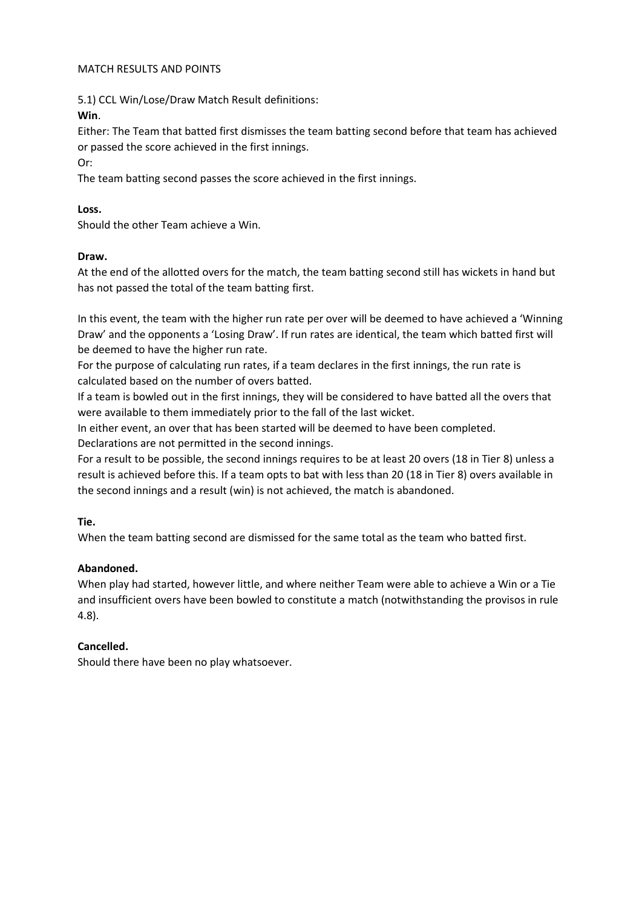#### MATCH RESULTS AND POINTS

5.1) CCL Win/Lose/Draw Match Result definitions:

### **Win**.

Either: The Team that batted first dismisses the team batting second before that team has achieved or passed the score achieved in the first innings.

Or:

The team batting second passes the score achieved in the first innings.

# **Loss.**

Should the other Team achieve a Win.

# **Draw.**

At the end of the allotted overs for the match, the team batting second still has wickets in hand but has not passed the total of the team batting first.

In this event, the team with the higher run rate per over will be deemed to have achieved a 'Winning Draw' and the opponents a 'Losing Draw'. If run rates are identical, the team which batted first will be deemed to have the higher run rate.

For the purpose of calculating run rates, if a team declares in the first innings, the run rate is calculated based on the number of overs batted.

If a team is bowled out in the first innings, they will be considered to have batted all the overs that were available to them immediately prior to the fall of the last wicket.

In either event, an over that has been started will be deemed to have been completed. Declarations are not permitted in the second innings.

For a result to be possible, the second innings requires to be at least 20 overs (18 in Tier 8) unless a result is achieved before this. If a team opts to bat with less than 20 (18 in Tier 8) overs available in the second innings and a result (win) is not achieved, the match is abandoned.

# **Tie.**

When the team batting second are dismissed for the same total as the team who batted first.

# **Abandoned.**

When play had started, however little, and where neither Team were able to achieve a Win or a Tie and insufficient overs have been bowled to constitute a match (notwithstanding the provisos in rule 4.8).

# **Cancelled.**

Should there have been no play whatsoever.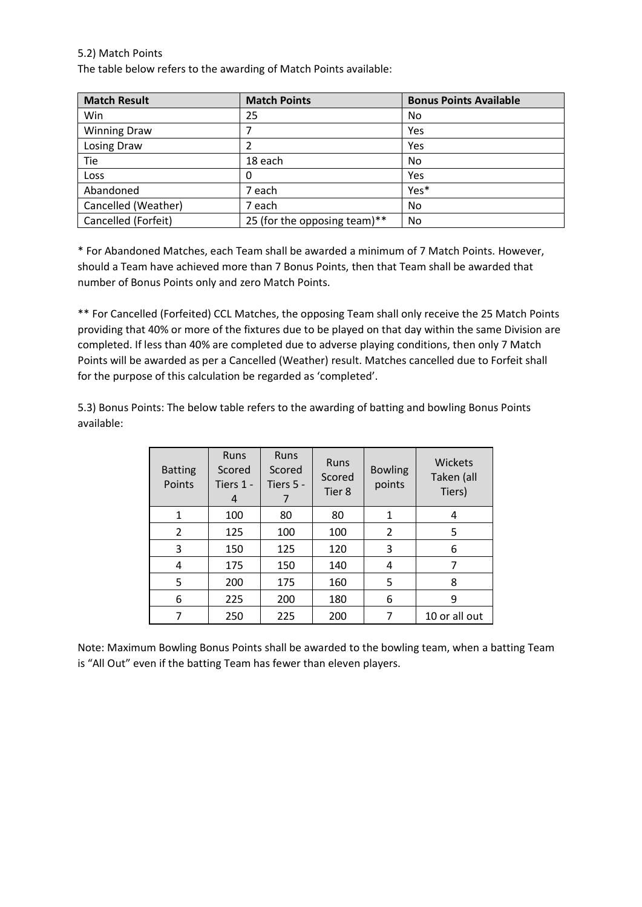### 5.2) Match Points

The table below refers to the awarding of Match Points available:

| <b>Match Result</b> | <b>Match Points</b>          | <b>Bonus Points Available</b> |
|---------------------|------------------------------|-------------------------------|
| Win                 | 25                           | No                            |
| <b>Winning Draw</b> |                              | Yes                           |
| Losing Draw         | 2                            | Yes                           |
| Tie                 | 18 each                      | No                            |
| Loss                | 0                            | Yes                           |
| Abandoned           | 7 each                       | Yes*                          |
| Cancelled (Weather) | 7 each                       | No                            |
| Cancelled (Forfeit) | 25 (for the opposing team)** | No                            |

\* For Abandoned Matches, each Team shall be awarded a minimum of 7 Match Points. However, should a Team have achieved more than 7 Bonus Points, then that Team shall be awarded that number of Bonus Points only and zero Match Points.

\*\* For Cancelled (Forfeited) CCL Matches, the opposing Team shall only receive the 25 Match Points providing that 40% or more of the fixtures due to be played on that day within the same Division are completed. If less than 40% are completed due to adverse playing conditions, then only 7 Match Points will be awarded as per a Cancelled (Weather) result. Matches cancelled due to Forfeit shall for the purpose of this calculation be regarded as 'completed'.

5.3) Bonus Points: The below table refers to the awarding of batting and bowling Bonus Points available:

| <b>Batting</b><br>Points | <b>Runs</b><br>Scored<br>Tiers 1 -<br>4 | <b>Runs</b><br>Scored<br>Tiers 5 - | <b>Runs</b><br>Scored<br>Tier 8 | <b>Bowling</b><br>points | Wickets<br>Taken (all<br>Tiers) |
|--------------------------|-----------------------------------------|------------------------------------|---------------------------------|--------------------------|---------------------------------|
| 1                        | 100                                     | 80                                 | 80                              | 1                        | 4                               |
| $\overline{2}$           | 125                                     | 100                                | 100                             | $\overline{2}$           | 5                               |
| 3                        | 150                                     | 125                                | 120                             | 3                        | 6                               |
| 4                        | 175                                     | 150                                | 140                             | 4                        | 7                               |
| 5                        | 200                                     | 175                                | 160                             | 5                        | 8                               |
| 6                        | 225                                     | 200                                | 180                             | 6                        | 9                               |
| 7                        | 250                                     | 225                                | 200                             | 7                        | 10 or all out                   |

Note: Maximum Bowling Bonus Points shall be awarded to the bowling team, when a batting Team is "All Out" even if the batting Team has fewer than eleven players.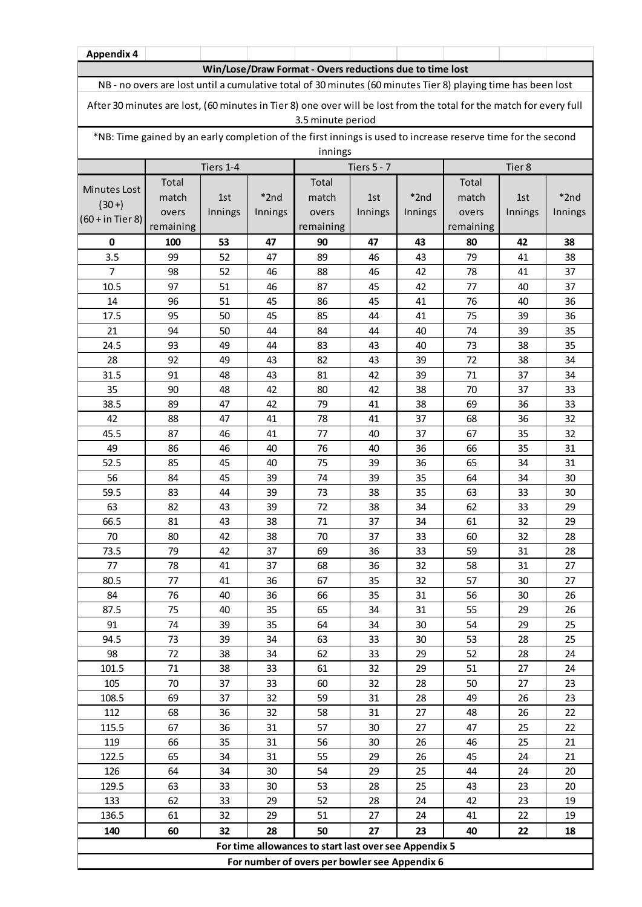| <b>Appendix 4</b> |  |
|-------------------|--|
|-------------------|--|

#### **Win/Lose/Draw Format - Overs reductions due to time lost**

NB - no overs are lost until a cumulative total of 30 minutes (60 minutes Tier 8) playing time has been lost

After 30 minutes are lost, (60 minutes in Tier 8) one over will be lost from the total for the match for every full 3.5 minute period

\*NB: Time gained by an early completion of the first innings is used to increase reserve time for the second innings

| шшцвэ               |                                           |         |         |                                                       |         |         |           |         |         |
|---------------------|-------------------------------------------|---------|---------|-------------------------------------------------------|---------|---------|-----------|---------|---------|
|                     | Tiers 1-4<br><b>Tiers 5 - 7</b><br>Tier 8 |         |         |                                                       |         |         |           |         |         |
| <b>Minutes Lost</b> | Total                                     |         |         | Total                                                 |         |         | Total     |         |         |
| $(30+)$             | match                                     | 1st     | *2nd    | match                                                 | 1st     | $*2nd$  | match     | 1st     | *2nd    |
| $(60 + in Tier 8)$  | overs                                     | Innings | Innings | overs                                                 | Innings | Innings | overs     | Innings | Innings |
|                     | remaining                                 |         |         | remaining                                             |         |         | remaining |         |         |
| $\mathbf 0$         | 100                                       | 53      | 47      | 90                                                    | 47      | 43      | 80        | 42      | 38      |
| 3.5                 | 99                                        | 52      | 47      | 89                                                    | 46      | 43      | 79        | 41      | 38      |
| $\overline{7}$      | 98                                        | 52      | 46      | 88                                                    | 46      | 42      | 78        | 41      | 37      |
| 10.5                | 97                                        | 51      | 46      | 87                                                    | 45      | 42      | 77        | 40      | 37      |
| 14                  | 96                                        | 51      | 45      | 86                                                    | 45      | 41      | 76        | 40      | 36      |
| 17.5                | 95                                        | 50      | 45      | 85                                                    | 44      | 41      | 75        | 39      | 36      |
| 21                  | 94                                        | 50      | 44      | 84                                                    | 44      | 40      | 74        | 39      | 35      |
| 24.5                | 93                                        | 49      | 44      | 83                                                    | 43      | 40      | 73        | 38      | 35      |
| 28                  | 92                                        | 49      | 43      | 82                                                    | 43      | 39      | 72        | 38      | 34      |
| 31.5                | 91                                        | 48      | 43      | 81                                                    | 42      | 39      | 71        | 37      | 34      |
| 35                  | 90                                        | 48      | 42      | 80                                                    | 42      | 38      | 70        | 37      | 33      |
| 38.5                | 89                                        | 47      | 42      | 79                                                    | 41      | 38      | 69        | 36      | 33      |
| 42                  | 88                                        | 47      | 41      | 78                                                    | 41      | 37      | 68        | 36      | 32      |
| 45.5                | 87                                        | 46      | 41      | 77                                                    | 40      | 37      | 67        | 35      | 32      |
| 49                  | 86                                        | 46      | 40      | 76                                                    | 40      | 36      | 66        | 35      | 31      |
| 52.5                | 85                                        | 45      | 40      | 75                                                    | 39      | 36      | 65        | 34      | 31      |
| 56                  | 84                                        | 45      | 39      | 74                                                    | 39      | 35      | 64        | 34      | 30      |
| 59.5                | 83                                        | 44      | 39      | 73                                                    | 38      | 35      | 63        | 33      | 30      |
| 63                  | 82                                        | 43      | 39      | 72                                                    | 38      | 34      | 62        | 33      | 29      |
| 66.5                | 81                                        | 43      | 38      | 71                                                    | 37      | 34      | 61        | 32      | 29      |
| 70                  | 80                                        | 42      | 38      | 70                                                    | 37      | 33      | 60        | 32      | 28      |
| 73.5                | 79                                        | 42      | 37      | 69                                                    | 36      | 33      | 59        | 31      | 28      |
| 77                  | 78                                        | 41      | 37      | 68                                                    | 36      | 32      | 58        | 31      | 27      |
| 80.5                | 77                                        | 41      | 36      | 67                                                    | 35      | 32      | 57        | 30      | 27      |
| 84                  | 76                                        | 40      | 36      | 66                                                    | 35      | 31      | 56        | 30      | 26      |
| 87.5                | 75                                        | 40      | 35      | 65                                                    | 34      | 31      | 55        | 29      | 26      |
| 91                  | 74                                        | 39      | 35      | 64                                                    | 34      | 30      | 54        | 29      | 25      |
| 94.5                | 73                                        | 39      | 34      | 63                                                    | 33      | 30      | 53        | 28      | 25      |
| 98                  | 72                                        | 38      | 34      | 62                                                    | 33      | 29      | 52        | 28      | 24      |
| 101.5               | $71\,$                                    | 38      | 33      | 61                                                    | 32      | 29      | 51        | 27      | 24      |
| 105                 | 70                                        | 37      | 33      | 60                                                    | 32      | 28      | 50        | 27      | 23      |
| 108.5               | 69                                        | 37      | 32      | 59                                                    | 31      | 28      | 49        | 26      | 23      |
| 112                 | 68                                        | 36      | 32      | 58                                                    | 31      | 27      | 48        | 26      | 22      |
| 115.5               | 67                                        | 36      | 31      | 57                                                    | 30      | 27      | 47        | 25      | 22      |
| 119                 | 66                                        | 35      | 31      | 56                                                    | 30      | 26      | 46        | 25      | 21      |
| 122.5               | 65                                        | 34      | 31      | 55                                                    | 29      | 26      | 45        | 24      | 21      |
| 126                 | 64                                        | 34      | 30      | 54                                                    | 29      | 25      | 44        | 24      | 20      |
| 129.5               | 63                                        | 33      | 30      | 53                                                    | 28      | 25      | 43        | 23      | 20      |
| 133                 | 62                                        | 33      | 29      | 52                                                    | 28      | 24      | 42        | 23      | 19      |
| 136.5               | 61                                        | 32      | 29      | 51                                                    | 27      | 24      | 41        | 22      | 19      |
| 140                 | 60                                        | 32      | 28      | 50                                                    | 27      | 23      | 40        | 22      | 18      |
|                     |                                           |         |         | For time allowances to start last over see Appendix 5 |         |         |           |         |         |
|                     |                                           |         |         | For number of overs per bowler see Appendix 6         |         |         |           |         |         |
|                     |                                           |         |         |                                                       |         |         |           |         |         |